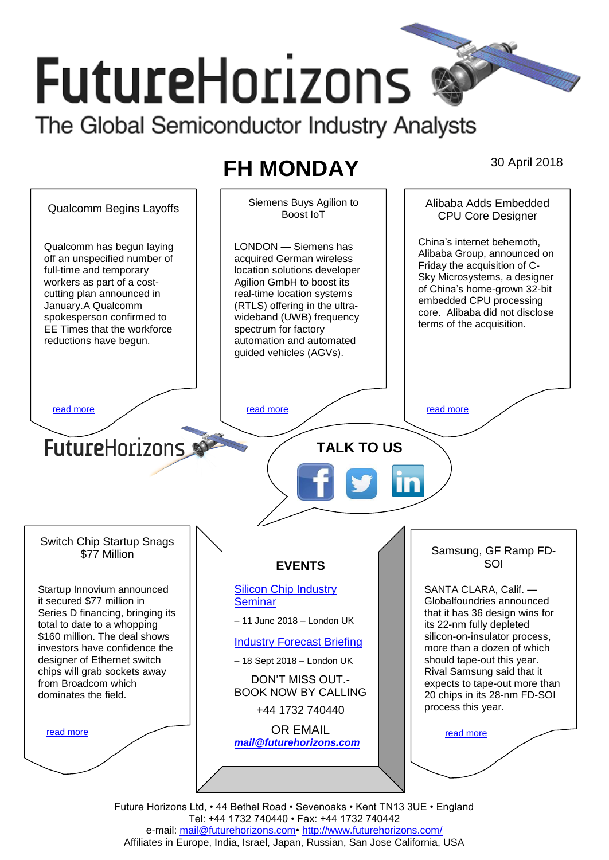# **FutureHorizons** The Global Semiconductor Industry Analysts

# **FH MONDAY** 30 April 2018



Future Horizons Ltd, • 44 Bethel Road • Sevenoaks • Kent TN13 3UE • England Tel: +44 1732 740440 • Fax: +44 1732 740442 e-mail: mail@futurehorizons.com• http://www.futurehorizons.com/ Affiliates in Europe, India, Israel, Japan, Russian, San Jose California, USA